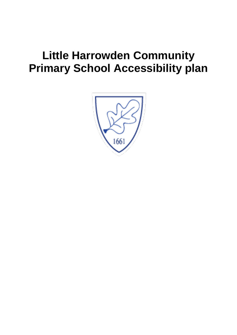# **Little Harrowden Community Primary School Accessibility plan**

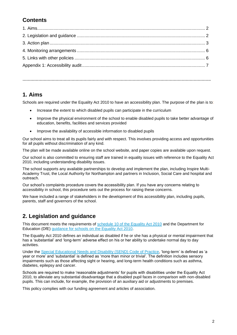## **Contents**

**…………………………………………………………………………………………………………………………….**

#### **1. Aims**

Schools are required under the Equality Act 2010 to have an accessibility plan. The purpose of the plan is to:

- Increase the extent to which disabled pupils can participate in the curriculum
- Improve the physical environment of the school to enable disabled pupils to take better advantage of education, benefits, facilities and services provided
- Improve the availability of accessible information to disabled pupils

Our school aims to treat all its pupils fairly and with respect. This involves providing access and opportunities for all pupils without discrimination of any kind.

The plan will be made available online on the school website, and paper copies are available upon request.

Our school is also committed to ensuring staff are trained in equality issues with reference to the Equality Act 2010, including understanding disability issues.

The school supports any available partnerships to develop and implement the plan, including Inspire Multi-Academy Trust, the Local Authority for Northampton and partners in Inclusion, Social Care and hospital and outreach.

Our school's complaints procedure covers the accessibility plan. If you have any concerns relating to accessibility in school, this procedure sets out the process for raising these concerns.

We have included a range of stakeholders in the development of this accessibility plan, including pupils, parents, staff and governors of the school.

## **2. Legislation and guidance**

This document meets the requirements of [schedule 10 of the Equality Act 2010](http://www.legislation.gov.uk/ukpga/2010/15/schedule/10) and the Department for Education (DfE) [guidance for schools on the Equality Act 2010.](https://www.gov.uk/government/publications/equality-act-2010-advice-for-schools)

The Equality Act 2010 defines an individual as disabled if he or she has a physical or mental impairment that has a 'substantial' and 'long-term' adverse effect on his or her ability to undertake normal day to day activities.

Under the [Special Educational Needs and Disability \(SEND\) Code of Practice,](https://www.gov.uk/government/publications/send-code-of-practice-0-to-25) 'long-term' is defined as 'a year or more' and 'substantial' is defined as 'more than minor or trivial'. The definition includes sensory impairments such as those affecting sight or hearing, and long-term health conditions such as asthma, diabetes, epilepsy and cancer.

Schools are required to make 'reasonable adjustments' for pupils with disabilities under the Equality Act 2010, to alleviate any substantial disadvantage that a disabled pupil faces in comparison with non-disabled pupils. This can include, for example, the provision of an auxiliary aid or adjustments to premises.

This policy complies with our funding agreement and articles of association.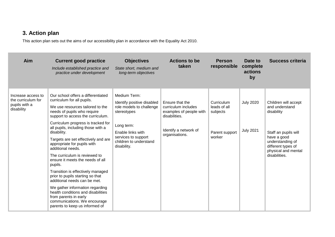## **3. Action plan**

This action plan sets out the aims of our accessibility plan in accordance with the Equality Act 2010.

| Aim                                                                     | <b>Current good practice</b><br>Include established practice and<br>practice under development                                                                                                                                                                                                                                                                                                                                                                                                                                                                                                                                                                                                                              | <b>Objectives</b><br>State short, medium and<br>long-term objectives                                                                                                                     | <b>Actions to be</b><br>taken                                                                                                 | <b>Person</b><br>responsible                                       | Date to<br>complete<br>actions<br>by | Success criteria                                                                                                                                                              |
|-------------------------------------------------------------------------|-----------------------------------------------------------------------------------------------------------------------------------------------------------------------------------------------------------------------------------------------------------------------------------------------------------------------------------------------------------------------------------------------------------------------------------------------------------------------------------------------------------------------------------------------------------------------------------------------------------------------------------------------------------------------------------------------------------------------------|------------------------------------------------------------------------------------------------------------------------------------------------------------------------------------------|-------------------------------------------------------------------------------------------------------------------------------|--------------------------------------------------------------------|--------------------------------------|-------------------------------------------------------------------------------------------------------------------------------------------------------------------------------|
| Increase access to<br>the curriculum for<br>pupils with a<br>disability | Our school offers a differentiated<br>curriculum for all pupils.<br>We use resources tailored to the<br>needs of pupils who require<br>support to access the curriculum.<br>Curriculum progress is tracked for<br>all pupils, including those with a<br>disability.<br>Targets are set effectively and are<br>appropriate for pupils with<br>additional needs.<br>The curriculum is reviewed to<br>ensure it meets the needs of all<br>pupils.<br>Transition is effectively managed<br>prior to pupils starting so that<br>additional needs can be met.<br>We gather information regarding<br>health conditions and disabilities<br>from parents in early<br>communications. We encourage<br>parents to keep us informed of | Medium Term:<br>Identify positive disabled<br>role models to challenge<br>stereotypes<br>Long term:<br>Enable links with<br>services to support<br>children to understand<br>disability. | Ensure that the<br>curriculum includes<br>examples of people with<br>disabilities.<br>Identify a network of<br>organisations. | Curriculum<br>leads of all<br>subjects<br>Parent support<br>worker | <b>July 2020</b><br><b>July 2021</b> | Children will accept<br>and understand<br>disability<br>Staff an pupils will<br>have a good<br>understanding of<br>different types of<br>physical and mental<br>disabilities. |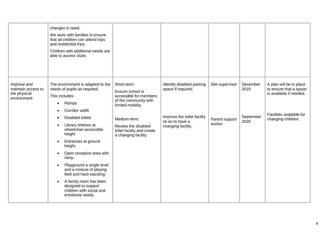|                                                                  | changes in need.<br>We work with families to ensure<br>that all children can attend trips<br>and residential trips.<br>Children with additional needs are<br>able to access clubs.                                                                                                                                                                                                                                                                                                                                                                              |                                                                                                                                                                                                      |                                                                                                                         |                                             |                                       |                                                                                                                                |
|------------------------------------------------------------------|-----------------------------------------------------------------------------------------------------------------------------------------------------------------------------------------------------------------------------------------------------------------------------------------------------------------------------------------------------------------------------------------------------------------------------------------------------------------------------------------------------------------------------------------------------------------|------------------------------------------------------------------------------------------------------------------------------------------------------------------------------------------------------|-------------------------------------------------------------------------------------------------------------------------|---------------------------------------------|---------------------------------------|--------------------------------------------------------------------------------------------------------------------------------|
| Improve and<br>maintain access to<br>the physical<br>environment | The environment is adapted to the<br>needs of pupils as required.<br>This includes:<br>Ramps<br>$\bullet$<br>Corridor width<br>$\bullet$<br><b>Disabled toilets</b><br>٠<br>Library shelves at<br>$\bullet$<br>wheelchair-accessible<br>height<br>Entrances at ground<br>$\bullet$<br>height.<br>Open reception area with<br>$\bullet$<br>ramp.<br>Playground a single level<br>$\bullet$<br>and a mixture of playing<br>field and hard-standing.<br>A family room has been<br>$\bullet$<br>designed to support<br>children with social and<br>emotional needs. | Short term:<br>Ensure school is<br>accessible for members<br>of the community with<br>limited mobility.<br>Medium term:<br>Review the disabled<br>toilet facility and create<br>a changing facility. | Identify disabled parking<br>space if required.<br>Improve the toilet facility<br>so as to have a<br>changing facility. | Site supervisor<br>Parent support<br>worker | December<br>2019<br>September<br>2020 | A plan will be in place<br>to ensure that a space<br>is available if needed.<br>Facilities available for<br>changing children. |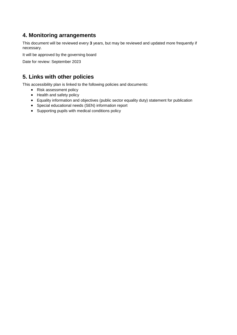### **4. Monitoring arrangements**

This document will be reviewed every **3** years, but may be reviewed and updated more frequently if necessary.

It will be approved by the governing board

Date for review: September 2023

#### **5. Links with other policies**

This accessibility plan is linked to the following policies and documents:

- Risk assessment policy
- Health and safety policy
- Equality information and objectives (public sector equality duty) statement for publication
- Special educational needs (SEN) information report
- Supporting pupils with medical conditions policy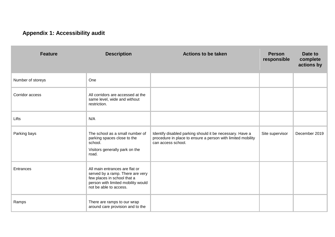## **Appendix 1: Accessibility audit**

| <b>Feature</b>    | <b>Description</b>                                                                                                                                                | <b>Actions to be taken</b>                                                                                                                    | <b>Person</b><br>responsible | Date to<br>complete<br>actions by |
|-------------------|-------------------------------------------------------------------------------------------------------------------------------------------------------------------|-----------------------------------------------------------------------------------------------------------------------------------------------|------------------------------|-----------------------------------|
| Number of storeys | One                                                                                                                                                               |                                                                                                                                               |                              |                                   |
| Corridor access   | All corridors are accessed at the<br>same level, wide and without<br>restriction.                                                                                 |                                                                                                                                               |                              |                                   |
| Lifts             | N/A                                                                                                                                                               |                                                                                                                                               |                              |                                   |
| Parking bays      | The school as a small number of<br>parking spaces close to the<br>school.<br>Visitors generally park on the<br>road.                                              | Identify disabled parking should it be necessary. Have a<br>procedure in place to ensure a person with limited mobility<br>can access school. | Site supervisor              | December 2019                     |
| Entrances         | All main entrances are flat or<br>served by a ramp. There are very<br>few places in school that a<br>person with limited mobility would<br>not be able to access. |                                                                                                                                               |                              |                                   |
| Ramps             | There are ramps to our wrap<br>around care provision and to the                                                                                                   |                                                                                                                                               |                              |                                   |